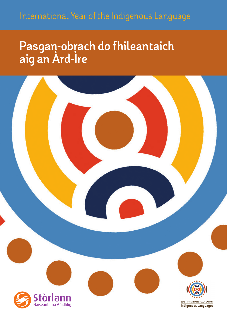## **Pasgan-obrach do fhileantaich aig an Àrd-Ìre**

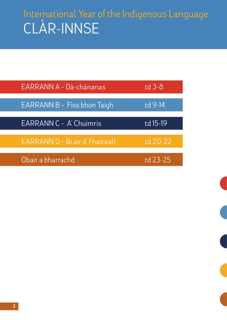# CLÀR-INNSE International Year of the Indigenous Language

| EARRANN A - Dà-chànanas         | td $3-8$ |
|---------------------------------|----------|
| EARRANN B - Fios bhon Taigh     | td 9-14  |
| EARRANN C - A' Chuimris         | td 15-19 |
| EARRANN D - Bi air d' Fhaiceall | td 20-22 |
| Obair a bharrachd               | td 23-25 |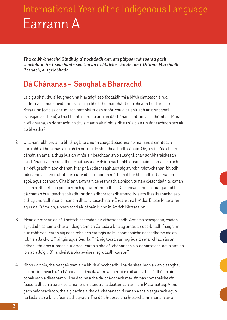*Tha colbh-bheachd Gàidhlig a' nochdadh ann am pàipear nàiseanta gach seachdain . An t-seachdain seo tha an t-eòlaiche-cànain , an t-Ollamh Murchadh Rothach, a' sgrìobhadh.*

### **Dà Chànanas – Saoghal a Bharrachd**

- 1. Leis gu bheil thu a' leughadh na h-artaigil seo, faodaidh mi a bhith cinnteach à rud cudromach mud dheidhinn: 's e sin gu bheil thu mar phàirt den bheag-chuid ann am Breatainn (còig sa cheud) ach mar phàirt den mhòr-chuid de shluagh an t-saoghail (seasgad sa cheud) a tha fileanta co-dhiù ann an dà chànan. Inntinneach dhòmhsa. Mura h-eil dhutsa, an do smaoinich thu a-riamh air a' bhuaidh a th' aig an t-suidheachadh seo air do bheatha?
- 2. Uill, nan robh thu air a bhith òg bho chionn caogad bliadhna no mar sin, 's cinnteach gun robh aithreachas air a bhith ort mu do shuidheachadh cànain. Oir, a rèir eòlaicheancànain an ama (a thug buaidh mhòr air beachdan an t-sluaigh), chan adhbharaicheadh dà-chànanas ach cron dhut. Bhathas a' creidsinn nach robh d' eanchainn comasach ach air dèiligeadh ri aon chànan. Mar phàirt de theaghlach aig an robh mion-chànan, bhiodh tidsearan ag innse dhut gun cuireadh do chànan màthaireil fìor bhacadh ort a thaobh sgoil agus cosnadh. Cha b' ann a-mhàin deireannach a bhiodh tu nan cleachdadh tu cànan seach a' Bheurla gu poblach, ach gu tur mì-mhodhail. Dheigheadh innse dhut gun robh dà chànan buailteach sgoltadh-inntinn adhbhrachadh annad. B' e am fheallsanachd seo a thug crìonadh mòr air cànain dhùthchasach na h-Èireann, na h-Alba, Eilean Mhanainn agus na Cuimrigh, a bharrachd air cànain luchd in-imrich Bhreatainn.
- 3. Mean air mhean ge-tà, thòisich beachdan air atharrachadh. Anns na seasgadan, chaidh sgrùdadh cànain a chur air dòigh ann an Canada a bha ag amas air dearbhadh fhaighinn gun robh sgoilearan aig nach robh ach Fraingis na bu chomasaiche na feadhainn aig an robh an dà chuid Fraingis agus Beurla. Thàinig toradh an sgrùdaidh mar chlach às an adhar – fhuaras a-mach gur e sgoilearan a bha dà-chànanach a b' adhartaiche, agus ann an iomadh dòigh. B' i a' cheist a bha a-nise ri sgrùdadh, carson?
- 4. Bhon uair sin, tha freagairtean air a bhith a' nochdadh. Tha dà shealladh air an t-saoghal aig inntinn neach dà-chànanach – tha dà ainm air a h-uile càil agus tha dà dhòigh air conaltradh a dhèanamh. Tha daoine a tha dà-chànanach mar sin nas comasaiche air fuasglaidhean a lorg – sgil, mar eisimpleir, a tha deatamach ann am Matamataig. Anns gach suidheachadh, tha aig daoine a tha dà-chànanach ri cànan a tha freagarrach agus na faclan air a bheil feum a thaghadh. Tha dòigh-obrach na h-eanchainn mar sin air a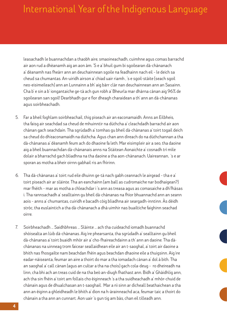leasachadh le buannachdan a thaobh aire, smaoineachadh, cuimhne agus comas barrachd air aon rud a dhèanamh aig an aon àm. 'S e a' bhuil gum bi sgoilearan dà-chànanach a' dèanamh nas fheàrr ann an deuchainnean sgoile na feadhainn nach eil – le deich sa cheud sa chumantas. An-uiridh airson a' chiad uair riamh , 's e sgoil-stàite (seach sgoil neo-eisimeileach) ann an Lunnainn a bh' aig bàrr clàr nan deuchainnean ann an Sasainn. Cha b' e sin a b' iongantaiche ge-tà ach gun robh a' Bheurla mar dhàrna cànan aig 96% de sgoilearan san sgoil! Dearbhadh gur e fìor dheagh charaidean a th' ann an dà-chànanas agus soirbheachadh.

- 5. Far a bheil foghlam soirbheachail, thig piseach air an eaconamaidh. Anns an Eilbheis, tha faisg air seachdad sa cheud de mhuinntir na dùthcha a' cleachdadh barrachd air aon chànan gach seachdain. Tha sgrùdadh a' tomhas gu bheil dà-chànanas a' toirt togail deich sa cheud do dh'eaconamaidh na dùthcha. Agus chan ann dìreach do na dùthchannan a tha dà-chànanas a' dèanamh feum ach do dhaoine fa leth. Mar eisimpleir air a seo, tha daoine aig a bheil buannachdan dà-chànanais anns na Stàitean Aonaichte a' cosnadh trì mìle dolair a bharrachd gach bliadhna na tha daoine a tha aon-chànanach. Uaireannan, 's e ar sporan as motha a bheir oirnn gabhail ris an fhìrinn.
- 6. Tha dà-chànanas a' toirt rud eile dhuinn ge-tà nach gabh ceannach le airgead tha e a' toirt piseach air ar slàinte. Tha an eanchainn (am ball as cudromaiche nar bodhaigean?) mar fhèith – mar as motha a chleachdar i 's ann as treasa agus as comasaiche a dh'fhàsas i. Tha rannsachadh a' sealltainn gu bheil dà-chànanas na fhìor bhuannachd ann an seann aois – anns a' chumantas, cuiridh e bacadh còig bliadhna air seargadh-inntinn. Às dèidh stròc, tha euslaintich a tha dà-chànanach a dhà uimhir nas buailtiche faighinn seachad oirre.
- 7. Soirbheachadh ... Saidhbhreas ... Slàinte ... ach tha cuideachd iomadh buannachd shòisealta an lùib dà-chànanas. Aig ìre phearsanta, tha sgrùdadh a' sealltainn gu bheil dà-chànanas a' toirt buaidh mhòr air a' cho-fhaireachdainn a th' ann an daoine. Tha dàchànanas na uinneag trom faicear seallaidhean eile air an t-saoghal, a' toirt air daoine a bhith nas fhosgailte nam beachdan fhèin agus beachdan dhaoine eile a thuigsinn. Aig ìre eadar-nàiseanta, feumar an aire a thoirt do mar a tha iomadach cànan a' dol à bith. Tha an saoghal a' call cànan (agus an cultar a tha na chois) gach cola-deug – ro dheireadh na linn, cha bhi ach an treas cuid de na tha beò an-diugh fhathast ann. Bidh a' Ghàidhlig ann, ach tha sin fhèin a' toirt am follais cho èiginneach 's a tha suidheachadh a' mhòr-chuid de chànain agus de dhualchasan an t-saoghail. Mar a nì sinn ar dìcheall beathaichean a tha ann an èiginn a ghleidheadh le bhith a' dìon na h-àrainneachd aca, feumar taic a thoirt do chànain a tha ann an cunnart. Aon uair 's gun tig am bàs, chan eil tilleadh ann.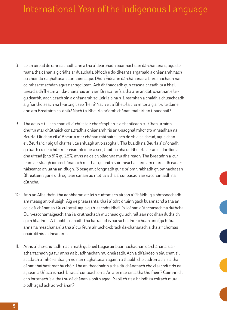- 8. Le an uiread de rannsachadh ann a tha a' dearbhadh buannachdan dà-chànanais, agus le mar a tha cànan aig cridhe ar dualchais, bhiodh e do-dhèanta argamaid a dhèanamh nach bu chòir do riaghaltasan Lunnainn agus Dhùn Èideann dà-chànanas a bhrosnachadh nar coimhearsnachdan agus nar sgoiltean. Ach dh'fhaodadh gun ceasnaicheadh tu a bheil uiread a dh'fheum air dà-chànanas ann am Breatainn 's a tha ann an dùthchannan eile – gu dearbh, nach deach sin a dhèanamh soilleir leis na h-àireamhan a chaidh a chleachdadh aig fìor thoiseach na h-artaigil seo fhèin? Nach eil a' Bheurla cha mhòr aig a h-uile duine ann am Breatainn co-dhiù? Nach i a' Bheurla prìomh chànan malairt an t-saoghail?
- 9. Tha agus 's i … ach chan eil a' chùis idir cho sìmplidh 's a shaoileadh tu! Chan urrainn dhuinn mar dhùthaich conaltradh a dhèanamh ris an t-saoghal mhòr tro mheadhan na Beurla. Oir chan eil a' Bheurla mar chànan màthaireil ach do shia sa cheud, agus chan eil Beurla idir aig trì chairteil de shluagh an t-saoghail! Tha buaidh na Beurla a' crìonadh gu luath cuideachd – mar eisimpleir air a seo, thuit na bha de Bheurla air an eadar-lìon a dhà uiread (bho 51% gu 26%) anns na deich bliadhna mu dheireadh. Tha Breatainn a' cur feum air sluagh ioma-chànanach ma tha i gu bhith soirbheachail ann am margaidh eadarnàiseanta an latha an-diugh. 'S beag an t-iongnadh gur e prìomh rabhadh gnìomhachasan Bhreatainn gur e dìth sgilean cànain as motha a tha a' cur bacadh air eaconamaidh na dùthcha.
- 10. Ann an Alba fhèin, tha adhbharan air leth cudromach airson a' Ghàidhlig a bhrosnachadh am measg an t-sluaigh. Aig ìre phearsanta, tha i a' toirt dhuinn gach buannachd a tha an cois dà-chànanas. Gu cultarail agus gu h-eachdraidheil: 's i cànan dùthchasach na dùthcha. Gu h-eaconamaigeach: tha i a' cruthachadh mu cheud gu leth millean not dhan dùthaich gach bliadhna. A thaobh cosnadh: tha barrachd is barrachd dhreuchdan ann (gu h-àraid anns na meadhanan) a tha a' cur feum air luchd-obrach dà-chànanach a tha air chomas obair 'dithis' a dhèanamh.
- 11. Anns a' cho-dhùnadh, nach math gu bheil tuigse air buannachadhan dà-chànanais air atharrachadh gu tur anns na bliadhnachan mu dheireadh. Ach a dh'aindeoin sin, chan eil sealladh a' mhòr-shluaigh no nan riaghaltasan againn a thaobh cho cudromach is a tha cànan fhathast mar bu chòir. Tha an fheadhainn a tha dà-chànanach cho cleachdte ris na sgilean a th' aca is nach bi iad a' cur luach orra. An ann mar sin a tha thu fhèin? Cuimhnich cho fortanach 's a tha thu dà chànan a bhith agad. Saoil cò ris a bhiodh tu coltach mura biodh agad ach aon-chànan?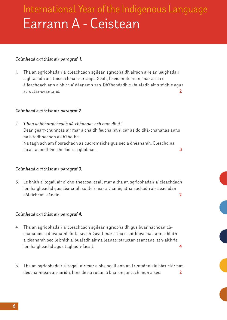# Earrann A - Ceistean International Year of the Indigenous Language

### *Coimhead a-rithist air paragraf 1.*

1. Tha an sgrìobhadair a' cleachdadh sgilean sgrìobhaidh airson aire an leughadair a ghlacadh aig toiseach na h-artaigil. Seall, le eisimpleirean, mar a tha e èifeachdach ann a bhith a' dèanamh seo. Dh'f haodadh tu bualadh air stoidhle agus structar-seantans. 2

#### *Coimhead a-rithist air paragraf 2.*

2. *'Chan adhbharaicheadh dà-chànanas ach cron dhut.'* Dèan geàrr-chunntas air mar a chaidh feuchainn ri cur às do dhà-chànanas anns na bliadhnachan a dh'fhalbh. Na tagh ach am fiosrachadh as cudromaiche gus seo a dhèanamh. Cleachd na facail agad fhèin cho fad 's a ghabhas. 3

#### *Coimhead a-rithist air paragraf 3.*

3. Le bhith a' togail air a' cho-theacsa, seall mar a tha an sgrìobhadair a' cleachdadh ìomhaigheachd gus dèanamh soilleir mar a thàinig atharrachadh air beachdan eòlaichean-cànain. 2

#### *Coimhead a-rithist air paragraf 4.*

- 4. Tha an sgrìobhadair a' cleachdadh sgilean sgrìobhaidh gus buannachdan dàchànanais a dhèanamh follaiseach. Seall mar a tha e soirbheachail ann a bhith a' dèanamh seo le bhith a' bualadh air na leanas: structar-seantans, ath-aithris, ìomhaigheachd agus taghadh-facail. 4
- 5. Tha an sgrìobhadair a' togail air mar a bha sgoil ann an Lunnainn aig bàrr clàr nan deuchainnean an-uiridh. Inns dè na rudan a bha iongantach mun a seo.  $\overline{\mathbf{2}}$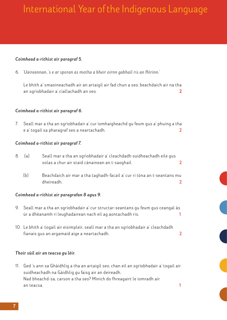### *Coimhead a-rithist air paragraf 5.*

6. *'Uaireannan, 's e ar sporan as motha a bheir oirnn gabhail ris an fhìrinn.'*

Le bhith a' smaoineachadh air an artaigil air fad chun a seo, beachdaich air na tha an sgrìobhadair a' ciallachadh an seo. 2

#### *Coimhead a-rithist air paragraf 6.*

7. Seall mar a tha an sgrìobhadair a' cur ìomhaigheachd gu feum gus a' phuing a tha e a' togail sa pharagraf seo a neartachadh. **2**

#### *Coimhead a-rithist air paragraf 7.*

- 8. (a) Seall mar a tha an sgrìobhadair a' cleachdadh suidheachadh eile gus solas a chur air staid cànainean an t-saoghail. **2**
	- (b) Beachdaich air mar a tha taghadh-facail a' cur ri tòna an t-seantans mu dheireadh. **2**

#### *Coimhead a-rithist air paragrafan 8 agus 9.*

- 9. Seall mar a tha an sgrìobhadair a' cur structar-seantans gu feum gus ceangal às ùr a dhèanamh ri leughadairean nach eil ag aontachadh ris. **1**
- 10. Le bhith a' togail air eisimpleir, seall mar a tha an sgrìobhadair a' cleachdadh fianais gus an argamaid aige a neartachadh. **2**

#### *Thoir sùil air an teacsa gu lèir.*

11. Ged 's ann sa Ghàidhlig a tha an artaigil seo, chan eil an sgrìobhadair a' togail air suidheachadh na Gàidhlig gu faisg air an deireadh. Nad bheachd-sa, carson a tha seo? Mìnich do fhreagairt le iomradh air an teacsa. **1**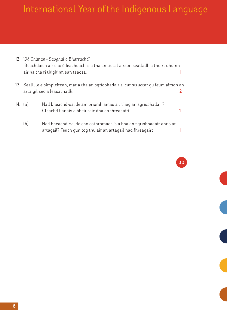- 12. '*Dà Chànan Saoghal a Bharrachd'* Beachdaich air cho èifeachdach 's a tha an tiotal airson sealladh a thoirt dhuinn air na tha ri thighinn san teacsa. **1** 13. Seall, le eisimpleirean, mar a tha an sgrìobhadair a' cur structar gu feum airson an artaigil seo a leasachadh. **2** 14. (a) Nad bheachd-sa, dè am prìomh amas a th' aig an sgrìobhadair? Cleachd fianais a bheir taic dha do fhreagairt. **1**
	- (b) Nad bheachd-sa, dè cho cothromach 's a bha an sgrìobhadair anns an artagail? Feuch gun tog thu air an artagail nad f hreagairt. **1**

**30**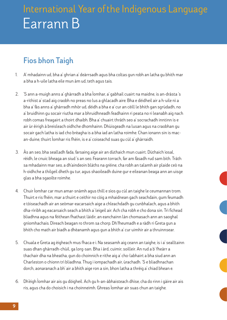### **Fios bhon Taigh**

- 1. A' mhadainn ud, bha a' ghrian a' deàrrsadh agus bha coltas gun robh an latha gu bhith mar a bha a h-uile latha eile mun àm ud, teth agus tais.
- 2. 'S ann a-muigh anns a' ghàrradh a bha Ìomhar, a' gabhail cuairt na maidne, is an-dràsta 's a-rithist a' stad aig craobh no preas no lus a ghlacadh aire. Bha e dèidheil air a h-uile nì a bha a' fàs anns a' ghàrradh mhòr ud, dèidh a bha e a' cur an cèill le bhith gan sgrùdadh, no a' bruidhinn gu socair riutha mar a bhruidhneadh feadhainn ri peata no ri leanabh aig nach robh comas freagairt a thoirt dhaibh. Bha a' chuairt thràth seo a' socrachadh inntinn is e air ùr èirigh à breisleach oidhche dhomhainn. Dhùisgeadh na lusan agus na craobhan gu socair gach latha is iad cho brèagha is a bha iad an latha roimhe. Chan ionann sin is macan-duine, thuirt Ìomhar ris fhèin, is e a' coiseachd suas gu cùl a' ghàrraidh.
- 3. Às an seo, bha sealladh fada, farsaing aige air an dùthaich mun cuairt. Dùthaich ìosal, rèidh, le cnuic bheaga an siud 's an seo. Fearann torrach, far am fàsadh rud sam bith. Tràth sa mhadainn mar seo, a dh'aindeoin blàths na grèine, cha robh an talamh air plaide ceò na h-oidhche a thilgeil dheth gu tur, agus shaoileadh duine gur e eileanan beaga ann an uisge glas a bha sgaoilte roimhe.
- 4. Chuir Ìomhar car mun amar-snàmh agus thill e sìos gu cùl an taighe le ceumannan trom. Thuirt e ris fhèin, mar a thuirt e ceithir no còig a mhaidnean gach seachdain, gum feumadh e tòiseachadh air an seòmar-eacarsaich aige a chleachdadh gu cunbhalach, agus a bhith dha-rìribh ag eacarsaich seach a bhith a' leigeil air. Ach cha robh e cho dona sin. Trì fichead bliadhna agus na fèithean fhathast làidir, an eanchainn làn chomasach ann an saoghal gnìomhachais. Dìreach beagan ro throm sa chorp. Dh'fheumadh e a ràdh ri Greta gun a bhith cho math air biadh a dhèanamh agus gun a bhith a' cur uimhir air a thruinnsear.
- 5. Chuala e Greta ag èigheach mus fhaca e i. Na seasamh aig ceann an taighe, is i a' sealltainn suas dhan ghàrradh-chùil, ga lorg-san. Bha i àrd, cuimir, soilleir. An rud a b' fheàrr a thachair dha na bheatha, gun do choinnich e rithe aig a' cho-labhairt a bha siud ann an Charleston o chionn trì bliadhna. Thug i iompachadh air, ùrachadh. 'S e bliadhnachan dorch, aonaranach a bh' air a bhith aige ron a sin, bhon latha a thrèig a' chiad bhean e.
- 6. Dh'èigh Ìomhar air ais gu dòigheil. Ach gu h-an-àbhaisteach dhìse, cha do rinn i gàire air ais ris, agus cha do choisich i na choinneimh. Ghreas Ìomhar air suas chun an taighe.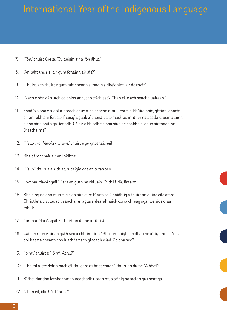- 7. "Fòn," thuirt Greta. "Cuideigin air a' fòn dhut."
- 8. "An tuirt thu ris idir gum fònainn air ais?"
- 9. "Thuirt, ach thuirt e gum fuiricheadh e fhad 's a dheighinn air do thòir."
- 10. "Nach e bha dàn. Ach cò bhios ann, cho tràth seo? Chan eil e ach seachd uairean."
- 11. Fhad 's a bha e a' dol a-steach agus a' coiseachd a-null chun a' bhùird bhig, ghrinn, dhaoir air an robh am fòn a b' fhaisg', sguab a' cheist ud a-mach às inntinn na seallaidhean àlainn a bha air a bhith ga lìonadh. Cò air a bhiodh na bha siud de chabhaig, agus air madainn Disathairne?
- 12. "*Hello, Ivor MacAskill here*," thuirt e gu gnothaicheil.
- 13. Bha sàmhchair air an loidhne.
- 14. "*Hello*," thuirt e a-rithist, rudeigin cas an turas seo.
- 15. "Ìomhar MacAsgaill?" ars an guth na chluais. Guth làidir, fireann.
- 16. Bha diog no dhà mus tug e an aire gum b' ann sa Ghàidhlig a thuirt an duine eile ainm. Chriothnaich cladach eanchainn agus shleamhnaich corra chreag sgàinte sìos dhan mhuir.
- 17. "Ìomhar MacAsgaill?" thuirt an duine a-rithist.
- 18. Càit an robh e air an guth seo a chluinntinn? Bha ìomhaighean dhaoine a' tighinn beò is a' dol bàs na cheann cho luath is nach glacadh e iad. Cò bha seo?
- 19. "Is mi," thuirt e. "'S mi. Ach…?"
- 20. "Tha mi a' creidsinn nach eil thu gam aithneachadh," thuirt an duine. "A bheil?"
- 21. B' fheudar dha Ìomhar smaoineachadh tiotan mus tàinig na faclan gu theanga.
- 22. "Chan eil, idir. Cò th' ann?"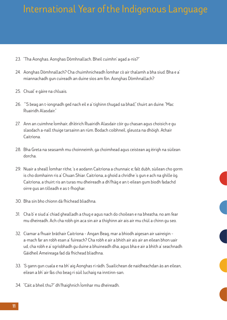- 23. "Tha Aonghas. Aonghas Dòmhnallach. Bheil cuimhn' agad a-nis?"
- 24. Aonghas Dòmhnallach? Cha chuimhnicheadh Ìomhar cò air thalamh a bha siud. Bha e a' miannachadh gun cuireadh an duine sìos am fòn. Aonghas Dòmhnallach?
- 25. Chual' e gàire na chluais.
- 26. "'S beag an t-iongnadh ged nach eil e a' tighinn thugad sa bhad," thuirt an duine. "Mac Ruairidh Alasdair."
- 27. Ann an cuimhne Ìomhair, dh'èirich Ruairidh Alasdair còir gu chasan agus choisich e gu slaodach a-nall thuige tarsainn an rùm. Bodach coibhneil, gleusta na dhòigh. Athair Caitrìona.
- 28. Bha Greta na seasamh mu choinneimh, ga choimhead agus ceistean ag èirigh na sùilean dorcha.
- 29. Nuair a sheall Ìomhar rithe, 's e aodann Caitrìona a chunnaic e; falt dubh, sùilean cho gorm is cho domhainn ris a' Chuan Shiar. Caitrìona, a ghoid a chridhe 's gun e ach na ghille òg. Caitrìona, a thuirt ris an turas mu dheireadh a dh'fhàg e an t-eilean gum biodh fadachd oirre gus an tilleadh e as t-fhoghar.
- 30. Bha sin bho chionn dà fhichead bliadhna.
- 31. Cha b' e siud a' chiad ghealladh a thug e agus nach do choilean e na bheatha, no am fear mu dheireadh. Ach cha robh gin aca sin air a thighinn air ais air mu chùl a chinn gu seo.
- 32. Ciamar a fhuair bràthair Caitrìona Angan Beag, mar a bhiodh aigesan air uaireigin a-mach far an robh esan a' fuireach? Cha robh e air a bhith air ais air an eilean bhon uair ud, cha robh e a' sgrìobhadh gu duine a bhuineadh dha, agus bha e air a bhith a' seachnadh Gàidheil Ameireaga fad dà fhichead bliadhna.
- 33. 'S gann gun cuala e na bh' aig Aonghas ri ràdh. Suailichean de naidheachdan às an eilean, eilean a bh' air fàs cho beag ri sùil luchaig na inntinn-san.
- 34. "Càit a bheil thu?" dh'fhaighnich Ìomhar mu dheireadh.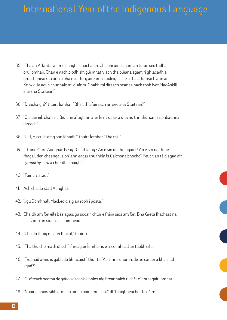- 35. "Tha an Atlanta, air mo shlighe dhachaigh. Cha bhi ùine agam an turas seo tadhal ort, Ìomhair. Chan e nach biodh sin glè mhath, ach tha plèana agam ri ghlacadh a dh'aithghearr. 'S ann a bha mi a' lorg àireamh cuideigin eile a tha a' fuireach ann an Knoxville agus chunnaic mi d' ainm. Ghabh mi dìreach seansa nach robh Ivor MacAskill eile sna Stàitean!"
- 36. "Dhachaigh?" thuirt Ìomhar. "Bheil thu fuireach an seo sna Stàitean?"
- 37. "Ò chan eil, chan eil. Bidh mi a' tighinn ann le m' obair a dhà no thrì thursan sa bhliadhna, dìreach."
- 38. "Uill, e, ceud taing son fònadh,'" thuirt Ìomhar. "Tha mi …"
- 39. "… taing?" ars Aonghas Beag. "Ceud taing? An e sin do fhreagairt? An e sin na th' air fhàgail den cheangal a bh' ann eadar thu fhèin is Caitrìona bhochd? Feuch an tèid agad air *sympathy card* a chur dhachaigh."
- 40. "Fuirich, stad…"
- 41. Ach cha do stad Aonghas.
- 42. "…gu Dòmhnall MacLeòid aig an robh i pòsta."
- 43. Chaidh am fòn eile bàs agus, gu socair, chuir e fhèin sìos am fòn. Bha Greta fhathast na seasamh an siud, ga choimhead.
- 44. "Cha do thuig mi aon fhacal," thuirt i.
- 45. "Tha thu cho math dheth," fhreagair Ìomhar is e a' coimhead an taobh eile.
- 46. "Trobhad a-nis is gabh do bhracaist," thuirt i. "Ach inns dhomh, dè an cànan a bha siud agad?"
- 47. "Ò, dìreach seòrsa de *gobbledegook* a bhios aig fireannaich ri chèile," fhreagair Ìomhar.
- 48. "Nuair a bhios sibh a-mach air na boireannaich?" dh'fhaighneachd i le gàire.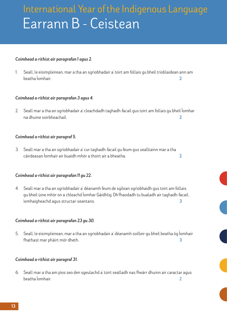# Earrann B - Ceistean International Year of the Indigenous Language

#### *Coimhead a-rithist air paragrafan 1 agus 2.*

1. Seall, le eisimpleirean, mar a tha an sgrìobhadair a' toirt am follais gu bheil trioblaidean ann am beatha Ìomhair. 2

#### *Coimhead a-rithist air paragrafan 3 agus 4.*

2. Seall mar a tha an sgrìobhadair a' cleachdadh taghadh-facail gus toirt am follais gu bheil Ìomhar na dhuine soirbheachail. 2

#### *Coimhead a-rithist air paragraf 5.*

3. Seall mar a tha an sgrìobhadair a' cur taghadh-facail gu feum gus sealltainn mar a tha càirdeasan Ìomhair air buaidh mhòr a thoirt air a bheatha. 2

#### *Coimhead a-rithist air paragrafan 11 gu 22.*

4. Seall mar a tha an sgrìobhadair a' dèanamh feum de sgilean sgrìobhaidh gus toirt am follais gu bheil ùine mhòr on a chleachd Ìomhar Gàidhlig. Dh'fhaodadh tu bualadh air taghadh-facail, ìomhaigheachd agus structar-seantans. 3

#### *Coimhead a-rithist air paragrafan 23 gu 30.*

5. Seall, le eisimpleirean, mar a tha an sgrìobhadair a' dèanamh soilleir gu bheil beatha òg Ìomhair fhathast mar phàirt mòr dheth. 3

#### *Coimhead a-rithist air paragraf 31.*

6. Seall mar a tha am pìos seo den sgeulachd a' toirt sealladh nas fheàrr dhuinn air caractar agus beatha Ìomhair. **2**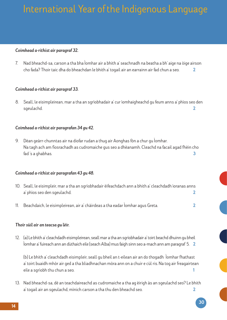#### *Coimhead a-rithist air paragraf 32.*

7. Nad bheachd-sa, carson a tha bha Ìomhar air a bhith a' seachnadh na beatha a bh' aige na òige airson cho fada? Thoir taic dha do bheachdan le bhith a' togail air an earrainn air fad chun a seo. 2

#### *Coimhead a-rithist air paragraf 33.*

8. Seall, le eisimpleirean, mar a tha an sgrìobhadair a' cur ìomhaigheachd gu feum anns a' phìos seo den sgeulachd. 2

#### *Coimhead a-rithist air paragrafan 34 gu 42.*

9. Dèan geàrr-chunntas air na diofar rudan a thug air Aonghas fòn a chur gu Ìomhar. Na tagh ach am fiosrachadh as cudromaiche gus seo a dhèanamh. Cleachd na facail agad fhèin cho fad 's a ghabhas. 3

#### *Coimhead a-rithist air paragrafan 43 gu 48.*

- 10. Seall, le eisimpleir, mar a tha an sgrìobhadair èifeachdach ann a bhith a' cleachdadh ìoranas anns a' phìos seo den sgeulachd. 2
- 11. Beachdaich, le eisimpleirean, air a' chàirdeas a tha eadar Ìomhar agus Greta. 2

#### *Thoir sùil air an teacsa gu lèir.*

12. (a) Le bhith a' cleachdadh eisimpleirean, seall mar a tha an sgrìobhadair a' toirt beachd dhuinn gu bheil Ìomhar a' fuireach ann an dùthaich eile (seach Alba) mus faigh sinn seo a-mach ann am paragraf 5. 2

 (b) Le bhith a' cleachdadh eisimpleir, seall gu bheil an t-eilean air an do thogadh Ìomhar fhathast a' toirt buaidh mhòr air ged a tha bliadhnachan mòra ann on a chuir e cùl ris. Na tog air freagairtean eile a sgrìobh thu chun a seo. 1

13. Nad bheachd-sa, dè an teachdaireachd as cudromaiche a tha ag èirigh às an sgeulachd seo? Le bhith a' togail air an sgeulachd, mìnich carson a tha thu den bheachd seo. 2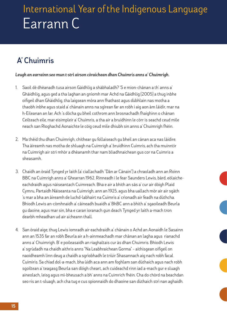### **A' Chuimris**

### *Leugh an earrainn seo mun t-strì airson còraichean dhan Chuimris anns a' Chuimrigh.*

- 1. Saoil dè dhèanadh tusa airson Gàidhlig a shàbhaladh? 'S e mion-chànan a th' anns a' Ghàidhlig, agus ged a tha laghan an gnìomh mar Achd na Gàidhlig (2005) a thug inbhe oifigeil dhan Ghàidhlig, tha laigsean mòra ann fhathast agus dùbhlain nas motha a thaobh inbhe agus staid a' chànain anns na sgìrean far an robh i aig aon àm làidir, mar na h-Eileanan an Iar. Ach 's dòcha gu bheil cothrom ann brosnachadh fhaighinn o chànan Ceilteach eile, mar eisimpleir a' Chuimris, a tha air a bruidhinn le còrr is seachd ceud mìle neach san Rìoghachd Aonaichte le còig ceud mìle dhiubh sin anns a' Chuimrigh fhèin.
- 2. Ma thèid thu dhan Chuimrigh, chithear gu follaiseach gu bheil an cànan aca nas làidire. Tha àireamh nas motha de shluagh na Cuimrigh a' bruidhinn Cuimris, ach tha muinntir na Cuimrigh air strì mhòr a dhèanamh thar nam bliadhnaichean gus cor na Cuimris a sheasamh.
- 3. Chaidh an òraid Tynged yr Iaith (a' ciallachadh "Dàn ar Cànain") a chraoladh ann an Roinn BBC na Cuimrigh anns a' Ghearran 1962. Rinneadh i le fear Saunders Lewis, bàrd, eòlaicheeachdraidh agus nàiseantach Cuimreach. Bha e air a bhith an sàs a' cur air dòigh Plaid Cymru, Partaidh Nàiseanta na Cuimrigh, ann an 1925, agus bha uallach mòr air air sgàth 's mar a bha an àireamh de luchd-labhairt na Cuimris a' crìonadh air feadh na dùthcha. Bhiodh Lewis an-còmhnaidh a' càineadh buaidh a' BhBC ann a bhith a' sgaoileadh Beurla gu daoine, agus mar sin, bha e caran ìoranach gun deach Tynged yr Iaith a-mach tron dearbh mheadhan ud air a'cheann thall.
- 4. San òraid aige, thug Lewis iomradh air eachdraidh a' chànain o Achd an Aonaidh le Sasainn ann an 1535 far an robh Beurla air a h-ainmeachadh mar chànan an lagha agus rianachd anns a' Chuimrigh. B' e poileasaidh an riaghaltais cur às dhan Chuimris. Bhiodh Lewis a' sgrùdadh na chaidh aithris anns "Na Leabhraichean Gorma" – aithisgean oifigeil on naoidheamh linn deug a chaidh a sgrìobhadh le triùir Shasannach aig nach robh facal Cuimiris. Sa chiad dol-a-mach, bha ùidh aca ann am foghlam san dùthaich agus nach robh sgoiltean a' teagasg Beurla san dòigh cheart, ach cuideachd rinn iad a-mach gur e sluagh aineolach, leisg agus mì-bheusach a bh' anns na Cuimrich fhèin. Cha do chòrd na beachdan seo ris an t-sluagh, ach cha tug e cus spionnaidh do dhaoine san dùthaich strì nan aghaidh.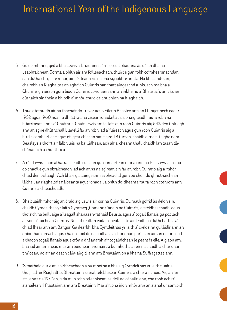- 5. Gu deimhinne, ged a bha Lewis a' bruidhinn còrr is ceud bliadhna às dèidh dha na Leabhraichean Gorma a bhith air am foillseachadh, thuirt e gun robh coimhearsnachdan san dùthaich, gu ìre mhòr, air gèilleadh ris na bha sgrìobhte annta. Na bheachd-san, cha robh an Riaghaltas an aghaidh Cuimris san fharsaingeachd a-nis, ach ma bha a' Churimrigh airson gum biodh Cuimris co-ionann ann an inbhe ris a' Bheurla, 's ann às an dùthaich sin fhèin a bhiodh a' mhòr-chuid de dhùbhlan na h-aghaidh.
- 6. Thug e iomradh air na thachair do Trevor agus Eilenn Beasley ann an Llangennech eadar 1952 agus 1960 nuair a dhiùlt iad na cìsean ionadail aca a phàigheadh mura robh na h-iarrtasan anns a' Chuimris. Chuir Lewis am follais gun robh Cuimris aig 84% den t-sluagh ann an sgìre dhùthchail Llanelli far an robh iad a' fuireach agus gun robh Cuimris aig a h-uile comhairliche agus oifigear chìsean san sgìre. Trì tursan, chaidh airneis-taighe nam Beasleys a thoirt air falbh leis na bàillidhean, ach air a' cheann thall, chaidh iarrtasan dàchànanach a chur thuca.
- 7. A rèir Lewis, chan atharraicheadh cùisean gun iomairtean mar a rinn na Beasleys, ach cha do shaoil e gun obraicheadh iad ach anns na sgìrean sin far an robh Cuimris aig a' mhòrchuid den t-sluagh. Ach bha e gu daingeann na bheachd gum bu chòir do ghnothaichean làitheil an riaghaltais nàiseanta agus ionadail a bhith do-dhèanta mura robh cothrom ann Cuimris a chleachdadh.
- 8. Bha buaidh mhòr aig an òraid aig Lewis air cor na Cuimris. Gu math goirid às dèidh sin, chaidh Cymdeithas yr Iaith Gymraeg (Comann Cànain na Cuimris) a stèidheachadh, agus thòisich na buill aige a' leagail shanasan-rathaid Beurla, agus a' togail fianais gu poblach airson còraichean Cuimris. Nochd ceallan eadar-dhealaichte air feadh na dùthcha, leis a' chiad fhear ann am Bangor. Gu dearbh, bha Cymdeithas yr Iaith a' creidsinn gu làidir ann an gnìomhan dìreach agus chaidh cuid de na buill aca a chur dhan phrìosan airson na rinn iad a thaobh togail fianais agus cròn a dhèanamh air togalaichean le peant is eile. Aig aon àm, bha iad air am meas mar am buidheann-iomairt a bu mhotha a rèir na chaidh a chur dhan phrìosan, no air an deach càin-airgid, ann am Breatainn on a bha na Suffragettes ann.
- 9. 'S mathaid gur e an soirbheachadh a bu mhotha a bha aig Cymdeithas yr Iaith nuair a thug iad air Riaghaltas Bhreatainn sianal telebhisean Cuimris a chur air chois. Aig an àm sin, anns na 1970an, fada mus tobh telebhisean saideil no càbailn ann, cha robh ach trì sianailean ri fhaotainn ann am Breatainn. Mar sin bha ùidh mhòr ann an sianal ùr sam bith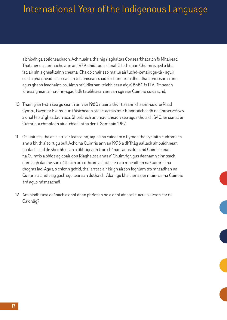a bhiodh ga stèidheachadh. Ach nuair a thàinig riaghaltas Consearbhataibh fo Mhairead Thatcher gu cumhachd ann an 1979, dhiùltadh sianal fa leth dhan Chuimris ged a bha iad air sin a ghealltainn cheana. Cha do chuir seo maille air luchd-ìomairt ge-tà - sguir cuid a phàigheadh cìs cead an telebhisean 's iad fo chunnart a dhol dhan phrìosan ri linn, agus ghabh feadhainn os làimh stiùidiothan telebhisean aig a' BhBC is ITV. Rinneadh ionnsaighean air croinn-sgaoilidh telebhisean ann an sgìrean Cuimris cuideachd.

- 10. Thàinig an t-strì seo gu ceann ann an 1980 nuair a thuirt seann cheann-suidhe Plaid Cymru, Gwynfor Evans, gun tòisicheadh stailc-acrais mur h-aontaicheadh na *Conservatives* a dhol leis a' ghealladh aca. Shoirbhich am maoidheadh seo agus thòisich S4C, an sianal ùr Cuimris, a chraoladh air a' chiad latha den t-Samhain 1982.
- 11. On uair sin, tha an t-strì air leantainn, agus bha cuideam o Cymdeithas yr Iaith cudromach ann a bhith a' toirt gu buil Achd na Cuimris ann an 1993 a dh'fhàg uallach air buidhnean poblach cuid de sheirbhisean a lìbhrigeadh tron chànan, agus dreuchd Coimiseanair na Cuimris a bhios ag obair don Riaghaltas anns a' Chuimrigh gus dèanamh cinnteach gumfaigh daoine san dùthaich an cothrom a bhith beò tro mheadhan na Cuimris ma thogras iad. Agus, o chionn goirid, tha iarrtas air èirigh airson foghlam tro mheadhan na Cuimris a bhith aig gach sgoilear san dùthaich. Abair gu bheil amasan muinntir na Cuimris àrd agus misneachail.
- 12. Am biodh tusa deònach a dhol dhan phrìosan no a dhol air stailc-acrais airson cor na Gàidhlig?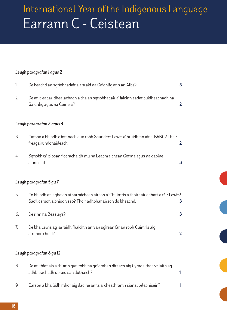# Earrann C - Ceistean International Year of the Indigenous Language

### *Leugh paragrafan 1 agus 2*

| 1. | Dè beachd an sgrìobhadair air staid na Gàidhlig ann an Alba?                                                                                           | $\mathbf{3}$   |
|----|--------------------------------------------------------------------------------------------------------------------------------------------------------|----------------|
| 2. | Dè an t-eadar-dhealachadh a tha an sgrìobhadair a' faicinn eadar suidheachadh na<br>Gàidhlig agus na Cuimris?                                          | $\overline{2}$ |
|    | Leugh paragrafan 3 agus 4                                                                                                                              |                |
| 3. | Carson a bhiodh e ìoranach gun robh Saunders Lewis a' bruidhinn air a' BhBC? Thoir<br>freagairt mionaideach.                                           | $\mathbf{2}$   |
| 4. | Sgrìobh trì pìosan fiosrachaidh mu na Leabhraichean Gorma agus na daoine<br>a rinn jad.                                                                | $\mathbf{3}$   |
|    | Leugh paragrafan 5 gu 7                                                                                                                                |                |
| 5. | Cò bhiodh an aghaidh atharraichean airson a' Chuimris a thoirt air adhart a rèir Lewis?<br>Saoil carson a bhiodh seo? Thoir adhbhar airson do bheachd. | $\mathbf{3}$   |
| 6. | Dè rinn na Beasleys?                                                                                                                                   | $\mathbf{3}$   |
| 7. | Dè bha Lewis ag iarraidh fhaicinn ann an sgìrean far an robh Cuimris aig<br>a' mhòr-chuid?                                                             | $\overline{2}$ |
|    | Leugh paragrafan 8 gu 12                                                                                                                               |                |
| 8. | Dè an fhianais a th' ann gun robh na gnìomhan dìreach aig Cymdeithas yr laith ag                                                                       |                |

9. Carson a bha ùidh mhòr aig daoine anns a' cheathramh sianal telebhisein? 1

adhbhrachadh ùpraid san dùthaich? 1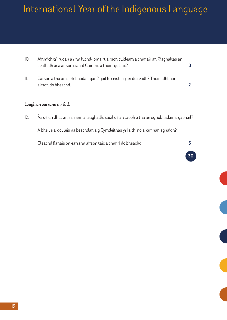- 10. Ainmich **trì** rudan a rinn luchd-iomairt airson cuideam a chur air an Riaghaltas an gealladh aca airson sianal Cuimris a thoirt gu buil? **3** 3
- 11. Carson a tha an sgrìobhadair gar fàgail le ceist aig an deireadh? Thoir adhbhar airson do bheachd. 2

#### *Leugh an earrann air fad.*

12. Às dèidh dhut an earrann a leughadh, saoil dè an taobh a tha an sgrìobhadair a' gabhail?

A bheil e a' dol leis na beachdan aig Cymdeithas yr Iaith no a' cur nan aghaidh?

Cleachd fianais on earrann airson taic a chur ri do bheachd. **5** 

30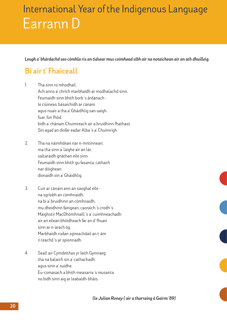*Leugh a' bhàrdachd seo còmhla ris an tidsear mus coimhead sibh air na notaichean air an ath dhuilleig.*

### **Bi air t' Fhaiceall**

- 1. Tha sinn ro mhodhail. Ach anns a' chrìch marbhaidh ar modhalachd sinn. Feumaidh sinn bhith borb 's àrdanach le ciùineas, bàsaichidh ar cànain agus nuair a tha a' Ghàidhlig san uaigh. fuar, fon fhòd, bidh a' chànain Chuimreach air a bruidhinn fhathast. Sin agad an diofar eadar Alba 's a' Chuimrigh.
- 2. Tha na nàimhdean nar n-inntinnean; ma tha sinn a' laighe air an làr, saltaraidh gnàthan eile sinn. Feumaidh sinn bhith gu fasanta, cathach nar dòighean: dìonaidh sin a' Ghàidhlig.
- 3. Cuir ar cànain ann an saoghal eile na sgrìobh an còmhnaidh, na bi a' bruidhinn an còmhnaidh, mu dheidhinn faingean, caoraich 's crodh 's Maighstir MacDhòmhnaill 's a' cuimhneachadh air an eilean bhòidheach far an d' fhuair sinn ar n-àrach òg. Marbhaidh rudan sgìreachdail an t-àm ri teachd 's ar spionnadh.
- 4. Seall air Cymdeithas yr Iaith Gymraeg: tha na balaich sin a' cathachadh agus sinn a' suidhe. Eu-comasach a bhith measarra 's reusanta no bidh sinn aig ar leabaidh-bhàis.

 *(le Julian Ronay ( air a tharraing à Gairm '89)*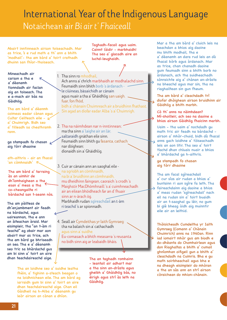### Notaichean air *Bi air t ' Fhaiceall* International Year of the Indigenous Language

Abairt inntinneach airson toiseachadh. Mar as trice, 's e rud math a th' ann a bhith 'modhail'- tha am bàrd a' toirt crathadh dhuinn san fhìor-thoiseach.

Mineachadh air carson a tha e a' dèanamh tionndadh air faclan aig an toiseach. Tha e a-mach air bàs na Gàidhlig.

Tha am bàrd a' dèanmh coimeas eadar cànan agus Cultar Ceilteach eile -  $k$ a' Chuimrigh. Bidh seo a' tilleadh sa cheathramh rann.

ga stampadh fo chasan  $\nu$ aig tòrr dhaoine

ath-aithris - air an fhacal 'an còmhnaidh'

Tha am bàrd a' tarraing às an uimhir de dh'ìomhaighean a tha esan a' meas a tha co-cheangailte ri bàrdachd san t-seann nòs.

Tha am pàilteas de dh'enjambment air feadh na bàrdachd, agus uaireannan, tha e ann an àiteachan àraid. Mar eisimpleir, tha "an t-àm ri teachd" ag obair mar aon abairt mar as trice, ach tha am bàrd ga bhriseadh an seo. Tha e a' dèanamh seo tric sa bhàrdachd gus am bi sinn a' toirt an aire dhan teachdaireachd aige.

> Tha an loidhne seo a' suidhe leatha fhèin, a' tighinn a-steach beagan o na loidhnichean eile. Tha am bàrd ag iarraidh gum bi sinn a' toirt an aire dhan teachdaireachd aige. Chan eil Gàidheil na h-Alba a' dèanamh gu leòr airson an cànan a dhìon.

Taghadh-facail agus uaim. Cainnt làidir - marbhaidh! Tha seo a' glacadh aire an luchd-leughaidh.

1. Tha sinn ro mhodhail.

Ach anns a' chrìch marbhaidh ar modhalachd sinn. Feumaidh sinn bhith borb 's àrdanach le ciùineas, bàsaichidh ar cànain agus nuair a tha a' Ghàidhlig san uaigh. fuar, fon fhòd, bidh a' chànain Chuimreach air a bruidhinn fhathast. Sin agad an diofar eadar Alba 's a' Chuimrigh.

2. Tha na nàimhdean nar n-inntinnean; ma tha sinn a' laighe air an làr, saltaraidh gnàthan eile sinn. Feumaidh sinn bhith gu fasanta, cathach nar dòighean: dìonaidh sin a' Ghàidhlig.

3. Cuir ar cànain ann an saoghal eile na sgrìobh an còmhnaidh, na bi a' bruidhinn an còmhnaidh, mu dheidhinn faingean, caoraich 's crodh 's Maighstir MacDhòmhnaill 's a' cuimhneachadh air an eilean bhòidheach far an d' fhuair sinn ar n-àrach òg. Marbhaidh rudan sgìreachdail an t-àm ri teachd 's ar spionnadh.

4. Seall air Cymdeithas yr Iaith Gymraeg: tha na balaich sin a' cathachadh agus sinn a' suidhe. Eu-comasach a bhith measarra 's reusanta no bidh sinn aig ar leabaidh-bhàis.

> Tha an taghadh romhainn - leantail air adhart mar a tha sinn an-dràsta agus gheibh a' Ghàidhlig bàs, no èirigh agus strì às leth na Gàidhlig.

Mar a tha am bàrd a' cluich leis na beachdan a bhios aig daoine mu bhith modhail, tha e a' dèanamh an dara rud leis an dà fhacal bòrb agus àrdanach. Mar as trice, chan chanadh daoine gum feumadh sinn a bhith borb no àrdanach, ach tha suidheachadh sònraichte aig a' chànan an-dràsta na bheachd agus mar sin, tha na riaghailtean sin gun fheum.

Tha am bàrd a' cleachdadh trì diofar dhòighean airson bruidhinn air Gàidhlig a bhith marbh.

Cò th' anns na nàimhdean? Mì-shoilleir, ach seo na daoine a bhios airson Gàidhlig fhaicinn marbh.

Uaim - tha uaim a' nochdadh gu math tric air feadh na bàrdachd airson a' mhòr-chuid, bidh dà fhacal anns gach loidhne a' tòiseachadh leis an aon litir. Tha seo a' toirt tlachd dhan chluais nuair a bhios a' bhàrdachd ga h-aithris.

ga stampadh fo chasan aig tòrr dhaoine

 $\rightarrow$ 

Tha am facal sgìreachdail a' cur sìos air rudan a bhios a' buntainn ri aon sgìre fa leth. Tha faireachdainn aig daoine a bhios a' meas rudan 'sgìreachdail' nach eil na rudan sin a' toirt buaidh air an t-saoghal gu lèir, no gum bi glè bheag ùidh aig muinntir eile air an leithid.

Thòisicheadh Cumdeitha yr Iaith Gymraeg (Comann a' Chànain Chuimrich) anns na 1960an. Rinn iad iomairt mhòr gus am biodh e do-dhèanta do Chomhairlean agus don Riaghaltas a bhith a' cumail ghnìomhan oifigeil gun a bhith a' cleachdadh na Cuimris. Bha e gu math soirbheachail agus bha e na dheagh eisimpleir do mhòran a tha an sàs ann an strì airson còraichean do mhion-chànain.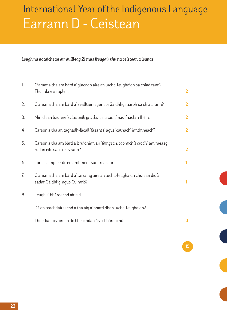# Earrann D - Ceistean International Year of the Indigenous Language

*Leugh na notaichean air duilleag 21 mus freagair thu na ceistean a leanas.* 

| $\overline{1}$ . | Ciamar a tha am bàrd a' glacadh aire an luchd-leughaidh sa chiad rann?<br>Thoir dà eisimpleir.             | $\overline{2}$ |
|------------------|------------------------------------------------------------------------------------------------------------|----------------|
| 2.               | Ciamar a tha am bàrd a' sealltainn gum bi Gàidhlig marbh sa chiad rann?                                    | $\overline{2}$ |
| 3 <sub>1</sub>   | Minich an loidhne "saltaraidh gnàthan eile sinn" nad fhaclan fhèin.                                        | $\overline{2}$ |
| 4.               | Carson a tha an taghadh-facail 'fasanta' agus 'cathach' inntinneach?                                       | $\overline{2}$ |
| 5.               | Carson a tha am bàrd a' bruidhinn air "faingean, caoraich 's crodh" am measg<br>rudan eile san treas rann? | $\overline{2}$ |
| 6.               | Lorg eisimpleir de enjambment san treas rann.                                                              | 1              |
| 7.               | Ciamar a tha am bàrd a' tarraing aire an luchd-leughaidh chun an diofar<br>eadar Gàidhlig agus Cuimris?    | 1              |
| 8.               | Leugh a' bhàrdachd air fad.                                                                                |                |
|                  | Dè an teachdaireachd a tha aig a' bhàrd dhan luchd-leughaidh?                                              |                |
|                  | Thoir fianais airson do bheachdan às a' bhàrdachd.                                                         | 3              |

<u>is a complete state of the complete state of the complete state of the complete state of the complete state of</u>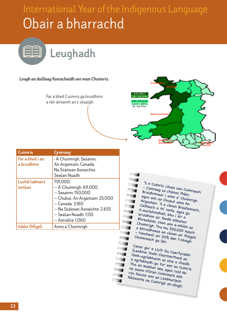# Obair a bharrachd International Year of the Indigenous Language



#### *Leugh an duilleag fiosrachaidh seo mun Chuimris.*

Far a bheil Cuimris ga bruidhinn a rèir àireamh an t-sluaigh:

| 62.5%+<br>50-62.5%<br>25-37.5%<br>$12.5 - 25%$<br>$0 - 12.5%$ |                    |  |
|---------------------------------------------------------------|--------------------|--|
|                                                               | <b>Aberystwyti</b> |  |

| <b>Cuimris</b>                   | Cymraeg                                                                                                                                                                                         |
|----------------------------------|-------------------------------------------------------------------------------------------------------------------------------------------------------------------------------------------------|
| Far a bheil i air<br>a bruidhinn | · A' Chuimrigh, Sasainn,<br>An Argantain, Canada,<br>Na Stàitean Aonaichte.<br>Sealan Nuadh                                                                                                     |
| Luchd-labhairt<br>iomlan         | 791,000:<br>- A' Chuimrigh: 611,000<br>- Sasainn: 150,000<br>- Chubut, An Argantain: 25,000<br>- Canada: 3,160<br>— Na Stàitean Aonaichte: 2,655<br>— Sealan Nuadh: 1,155<br>— Astràilia: 1,060 |
| <b>Inbhe Oifigeil</b>            | Anns a' Chuimrigh                                                                                                                                                                               |

'S e Cuimris cànan nan Cuimreach - Cymraeg sa chànan fhèin. Bruidhinnear i anns a' Chuimrigh agus ann an Chubut anns An Argantain. 'S e cànan Breatannach, Ceilteach a th' innte, agus gu h-eachdraidheil, bha i air a bruidhinn air feadh eileanan Bhreatainn, chan ann a-mhàin sa Chuimrigh. Tha mu 500,000 neach<br>a bhruidhneas an cànan air fhàgail<br>- timcheall air 20% den t-sluagh<br>Chuimreach au làir a bhruidhneas an cànan air fhàgail - timcheall air 20% den t-sluagh Chuimreach gu lèir.

Canar gur e Llyfr Du Caerfyrddin (Leabhar Dubh Charmarthen) an làmh-sgrìobhainn as sine a chaidh a sgrìobhadh gu tur ann an Cuimris. Tha an leabhar seo, agus cuid de na seann stòran Cuimreach eile rim faicinn ann an Leabharlann Nàiseanta na Cuimrigh an-diugh.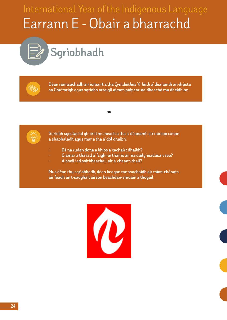# Earrann E - Obair a bharrachd International Year of the Indigenous Language

# **Sgrìobhadh**

**REA** 

**Dèan rannsachadh air iomairt a tha** *Cymdeithas Yr Iaith* **a' dèanamh an-dràsta sa Chuimrigh agus sgrìobh artaigil airson pàipear-naidheachd mu dheidhinn.**

 **no**



**Sgrìobh sgeulachd ghoirid mu neach a tha a' dèanamh strì airson cànan a shàbhaladh agus mar a tha a' dol dhaibh.** 

- **• Dè na rudan dona a bhios a' tachairt dhaibh?**
- **• Ciamar a tha iad a' faighinn thairis air na duilgheadasan seo?**
- **• A bheil iad soirbheachail air a' cheann thall?**

**Mus dèan thu sgrìobhadh, dèan beagan rannsachaidh air mìon-chànain air feadh an t-saoghail airson beachdan-smuain a thogail.**

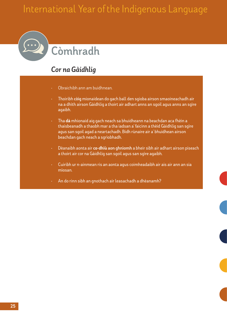# **Còmhradh**

### *Cor na Gàidhlig*

- Obraichibh ann am buidhnean.
- Thoiribh **còig** mionaidean do gach ball den sgioba airson smaoineachadh air na a dhìth airson Gàidhlig a thoirt air adhart anns an sgoil agus anns an sgìre agaibh.
- Tha dà mhionaid aig gach neach sa bhuidheann na beachdan aca fhèin a thaisbeanadh a thaobh mar a tha iadsan a' faicinn a thèid Gàidhlig san sgìre agus san sgoil agad a neartachadh. Bidh rùnaire air a' bhuidhean airson beachdan gach neach a sgrìobhadh.
- Dèanaibh aonta air co-dhiù **aon ghnìomh** a bheir sibh air adhart airson piseach a thoirt air cor na Gàidhlig san sgoil agus san sgìre agaibh.
- Cuiribh ur n-ainmean ris an aonta agus coimheadaibh air ais air ann an sia mìosan.
- An do rinn sibh an gnothach air leasachadh a dhèanamh?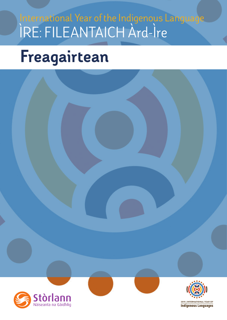# ÌRE: FILEANTAICH Àrd-Ìre International Year of the Indigenous Language

# Freagairtean



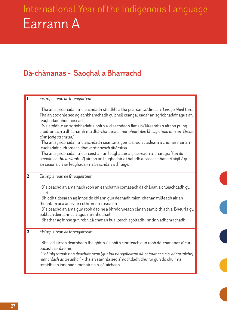# Earrann A International Year of the Indigenous Language

### **Dà-chànanas – Saoghal a Bharrachd**

|                         | Eisimpleirean de fhreagairtean                                                                                                                                                                                                                                                                                                                                                                                                                                                                                                                                                                                                                                                                                                                                                                        |
|-------------------------|-------------------------------------------------------------------------------------------------------------------------------------------------------------------------------------------------------------------------------------------------------------------------------------------------------------------------------------------------------------------------------------------------------------------------------------------------------------------------------------------------------------------------------------------------------------------------------------------------------------------------------------------------------------------------------------------------------------------------------------------------------------------------------------------------------|
|                         | · Tha an sgrìobhadair a' cleachdadh stoidhle a tha pearsanta/dìreach: 'Leis gu bheil thu'<br>Tha an stoidhle seo ag adhbharachadh gu bheil ceangal eadar an sgrìobhadair agus an<br>leughadair bhon toiseach.<br>· 'S e stoidhle an sgrìobhadair a bhith a' cleachdadh fianais/àireamhan airson puing<br>chudromach a dhèanamh mu dhà-chànanas: 'mar phàirt den bheag-chuid ann am Breat-<br>ainn (còig sa cheud)'.<br>Tha an sgrìobhadair a' cleachdadh seantans goirid airson cuideam a chur air mar an<br>leughadair cudromach dha: 'Inntinneach dhòmhsa.'<br>· Tha an sgrìobhadair a' cur ceist air an leughadair aig deireadh a' pharagraf ('an do<br>smaoinich thu a-riamh ?) airson an leughadair a thàladh a-steach dhan artaigil / qus<br>an ceasnaich an leughadair na beachdan a th' aige. |
| $\overline{2}$          | Eisimpleirean de fhreagairtean<br>· B' e beachd an ama nach robh an eanchainn comasach dà chànan a chleachdadh gu<br>ceart.<br>· Bhiodh tidsearan ag innse do chlann gun dèanadh mion-chànan milleadh air an<br>fhoghlam aca agus air cothroman cosnaidh.<br>· B' e beachd an ama gun robh daoine a bhruidhneadh cànan sam bith ach a' Bheurla gu<br>poblach deireannach agus mì-mhodhail.<br>· Bhathar ag innse gun robh dà chànan buailteach sgoltadh-inntinn adhbhrachadh.                                                                                                                                                                                                                                                                                                                         |
| $\overline{\mathbf{3}}$ | Eisimpleirean de fhreagairtean<br>· Bha iad airson dearbhadh fhaighinn / a bhith cinnteach gun robh dà-chànanas a' cur<br>bacadh air daoine.<br>· Thàinig toradh nan deuchainnean (gur iad na sgoilearan dà-chànanach a b' adhartaiche)<br>mar chlach às an adhar' - tha an samhla seo a' nochdadh dhuinn gun do chuir na<br>toraidhean iongnadh mòr air na h-eòlaichean.                                                                                                                                                                                                                                                                                                                                                                                                                             |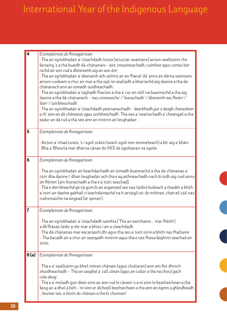| $\overline{\mathbf{4}}$ | Eisimpleirean de fhreagairtean<br>· Tha an sgrìobhadair a' cleachdadh liosta (structar-seantans) airson sealltainn cho<br>farsaing 's a tha buaidh dà-chànanais - 'aire, smaoineachadh, cuimhne agus comas bar-<br>rachd air aon rud a dhèanamh aig an aon àm'.<br>Tha an sgrìobhadair a' dèanamh ath-aithris air an fhacal 'dà' anns an dàrna seantans<br>airson cuideam a chur air mar a tha sgil no sealladh a bharrachd aig daoine a tha dà-<br>chànanach ann an iomadh suidheachadh.<br>Tha an sgrìobhadair a' taghadh fhaclan a tha a' cur an cèill na buannachd a tha aig<br>daoine a tha dà-chànanach - 'nas comasaiche' / 'leasachadh' / 'dèanamh nas fheàrr' /<br>'bàrr'/ 'soirbheachadh'.<br>Tha an sgrìobhadair a' cleachdadh pearsanachadh - 'dearbhadh gur e deagh charaidean<br>a th' ann an dà-chànanas agus soirbheachadh'. Tha seo a' neartachadh a' cheangail a tha<br>eadar an dà rud a tha seo ann an inntinn an leughadair. |
|-------------------------|---------------------------------------------------------------------------------------------------------------------------------------------------------------------------------------------------------------------------------------------------------------------------------------------------------------------------------------------------------------------------------------------------------------------------------------------------------------------------------------------------------------------------------------------------------------------------------------------------------------------------------------------------------------------------------------------------------------------------------------------------------------------------------------------------------------------------------------------------------------------------------------------------------------------------------------------------|
| 5                       | Eisimpleirean de fhreagairtean                                                                                                                                                                                                                                                                                                                                                                                                                                                                                                                                                                                                                                                                                                                                                                                                                                                                                                                    |
|                         | · Airson a' chiad turais, 's i sgoil stàite (seach sgoil neo-eisimeileach) a bh' aig a' bhàrr.<br>· Bha a' Bheurla mar dhàrna cànan do 96% de sgoilearan na sgoile.                                                                                                                                                                                                                                                                                                                                                                                                                                                                                                                                                                                                                                                                                                                                                                               |
| 6                       | Eisimpleirean de fhreagairtean                                                                                                                                                                                                                                                                                                                                                                                                                                                                                                                                                                                                                                                                                                                                                                                                                                                                                                                    |
|                         | · Tha an sgrìobhadair air beachdachadh air iomadh buannachd a tha dà-chànanas a'<br>toirt dha daoine / dhan leughadair ach tha e ag aithneachadh nach bi ùidh aig cuid anns<br>'an fhìrinn' (am fiosrachadh a tha e a' toirt seachad).<br>Tha e den bheachd ge-tà gum bi an argamaid seo nas làidire buileach a thaobh a bhith<br>a' toirt air daoine gabhail ri teachdaireachd na h-artaigil oir, do mhòran, chan eil càil nas<br>cudromaiche na airgead ('ar sporan').                                                                                                                                                                                                                                                                                                                                                                                                                                                                          |
| $\overline{7}$          | Eisimpleirean de fhreagairtean                                                                                                                                                                                                                                                                                                                                                                                                                                                                                                                                                                                                                                                                                                                                                                                                                                                                                                                    |
|                         | · Tha an sgrìobhadair a' cleachdadh samhla ('Tha an eanchainn  mar fhèith')<br>a dh'fhàsas làidir a rèir mar a bhios i air a cleachdadh.<br>Tha dà-chànanas mar eacarsaich dhi agus tha seo a' toirt oirre a bhith nas fhallaine<br>- Tha bacadh air a chur air seargadh-inntinn agus tha e nas fhasa faighinn seachad air<br>stròc.                                                                                                                                                                                                                                                                                                                                                                                                                                                                                                                                                                                                              |
| 8(a)                    | Eisimpleirean de fhreagairtean                                                                                                                                                                                                                                                                                                                                                                                                                                                                                                                                                                                                                                                                                                                                                                                                                                                                                                                    |
|                         | Tha e a' sealltainn gu bheil mòran chànain (agus chultaran) ann am fìor dhroch<br>shuidheachadh - 'Tha an saoghal a' call cànan (agus an cultar a tha na chois) gach<br>cola-deug'.<br>· Tha e a' moladh gun dèan sinn an aon rud le cànain 's a nì sinn le beathaichean a tha<br>faisg air a dhol à bith - 'nì sinn ar dìcheall beathaichean a tha ann an èiginn a ghleidheadh<br>feumar taic a thoirt do chànain a tha fo chunnart.                                                                                                                                                                                                                                                                                                                                                                                                                                                                                                             |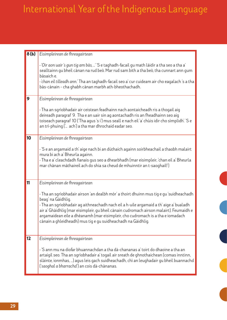| 8(b) | Eisimpleirean de fhreagairtean                                                                                                                                                                                                                                                                                                                                                                                                                   |
|------|--------------------------------------------------------------------------------------------------------------------------------------------------------------------------------------------------------------------------------------------------------------------------------------------------------------------------------------------------------------------------------------------------------------------------------------------------|
|      | · 'Oir aon uair 's gun tig am bàs, ' 'S e taghadh-facail gu math làidir a tha seo a tha a'<br>sealltainn gu bheil cànan na rud beò. Mar rud sam bith a tha beò, tha cunnart ann gum<br>bàsaich e.<br>· 'chan eil tilleadh ann.' Tha an taghadh-facail seo a' cur cuideam air cho eagalach 's a tha<br>bàs-cànain - cha ghabh cànan marbh ath-bheothachadh.                                                                                       |
| 9    | Eisimpleirean de fhreagairtean                                                                                                                                                                                                                                                                                                                                                                                                                   |
|      | Tha an sgrìobhadair air ceistean feadhainn nach aontaicheadh ris a thogail aig<br>deireadh paragraf 9. Tha e an uair sin ag aontachadh ris an fheadhainn seo aig<br>toiseach paragraf 10 ('Tha agus 's i') mus seall e nach eil 'a' chùis idir cho sìmplidh'. 'S e<br>an trì-phuing (' ach') a tha mar dhrochaid eadar seo.                                                                                                                      |
| 10   | Eisimpleirean de fhreagairtean                                                                                                                                                                                                                                                                                                                                                                                                                   |
|      | · 'S e an argamaid a th' aige nach bi an dùthaich againn soirbheachail a thaobh malairt<br>mura bi ach a' Bheurla againn.<br>· Tha e a' cleachdadh fianais gus seo a dhearbhadh (mar eisimpleir, 'chan eil a' Bheurla<br>mar chànan màthaireil ach do shia sa cheud de mhuinntir an t-saoghail!')                                                                                                                                                |
| 11   | Eisimpleirean de fhreagairtean                                                                                                                                                                                                                                                                                                                                                                                                                   |
|      | Tha an sgrìobhadair airson 'an dealbh mòr' a thoirt dhuinn mus tig e gu 'suidheachadh<br>beag' na Gàidhlig.<br>Tha an sgrìobhadair ag aithneachadh nach eil a h-uile argamaid a th' aige a' bualadh<br>air a' Ghàidhlig (mar eisimpleir, gu bheil cànain cudromach airson malairt). Feumaidh e<br>argamaidean eile a dhèanamh (mar eisimpleir, cho cudromach is a tha e iomadach<br>cànain a ghleidheadh) mus tig e gu suidheachadh na Gàidhlig. |
| 12   | Eisimpleirean de fhreagairtean                                                                                                                                                                                                                                                                                                                                                                                                                   |
|      | . 'S ann mu na diofar bhuannachdan a tha dà-chananas a' toirt do dhaoine a tha an<br>artaigil seo. Tha an sgrìobhadair a' togail air sreath de ghnothaichean (comas inntinn,<br>slàinte, ionmhas, ) agus leis gach suidheachadh, chì an leughadair gu bheil buannachd<br>('saoghal a bharrachd') an cois dà-chànanas.                                                                                                                            |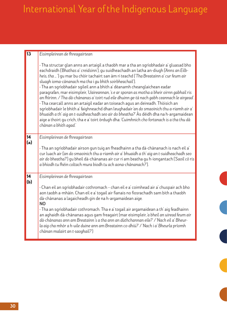| 13        | Eisimpleirean de fhreagairtean                                                                                                                                                                                                                                                                                                                                                                                                                                                                                                                                                                                                                                                                                                                                                                                                                                                                                                                                                                                  |
|-----------|-----------------------------------------------------------------------------------------------------------------------------------------------------------------------------------------------------------------------------------------------------------------------------------------------------------------------------------------------------------------------------------------------------------------------------------------------------------------------------------------------------------------------------------------------------------------------------------------------------------------------------------------------------------------------------------------------------------------------------------------------------------------------------------------------------------------------------------------------------------------------------------------------------------------------------------------------------------------------------------------------------------------|
|           | Tha structar glan anns an artaigil a thaobh mar a tha an sgrìobhadair a' gluasad bho<br>eachdraidh ('Bhathas a' creidsinn'), qu suidheachadh an latha an-diugh ('Anns an Eilb-<br>heis, tha  ') gu mar bu chòir tachairt san àm ri teachd ('Tha Breatainn a' cur feum air<br>sluagh ioma-cànanach ma tha i gu bhith soirbheachail').<br>· Tha an sgrìobhadair sgileil ann a bhith a' dèanamh cheanglaichean eadar<br>paragrafan, mar eisimpleir, 'Uaireannan, 's e ar sporan as motha a bheir oirnn gabhail ris<br>an fhìrinn. / Tha dà-chànanas a' toirt rud eile dhuinn ge-tà nach gabh ceannach le airgead'.<br>· Tha cearcall anns an artaigil eadar an toiseach agus an deireadh. Thòisich an<br>sgrìobhadair le bhith a' faighneachd dhan leughadair 'an do smaoinich thu a-riamh air a'<br>bhuaidh a th' aig an t-suidheachadh seo air do bheatha?' Às dèidh dha na h-argamaidean<br>aige a thoirt qu crìch, tha e a' toirt òrdugh dha: 'Cuimhnich cho fortanach is a tha thu dà<br>chànan a bhith agad. |
| 14<br>(a) | Eisimpleirean de fhreagairtean<br>. Tha an sgrìobhadair airson gun tuig an fheadhainn a tha dà-chànanach is nach eil a'<br>cur luach air (an do smaoinich thu a-riamh air a' bhuaidh a th' aig an t-suidheachadh seo<br>air do bheatha?') qu bheil dà-chànanas air cur ri am beatha qu h-iongantach ('Saoil cò ris<br>a bhiodh tu fhèin coltach mura biodh tu ach aona-chànanach?').                                                                                                                                                                                                                                                                                                                                                                                                                                                                                                                                                                                                                            |
| 14<br>(b) | Eisimpleirean de fhreagairtean<br>· Chan eil an sgrìobhadair cothromach - chan eil e a' coimhead air a' chuspair ach bho<br>aon taobh a-mhàin. Chan eil e a' togail air fianais no fiosrachadh sam bith a thaobh<br>dà-chànanas a lagaicheadh gin de na h-argamaidean aige.<br><b>NO</b><br>· Tha an sgrìobhadair cothromach. Tha e a' togail air argamaidean a th' aig feadhainn<br>an aghaidh dà-chànanas agus gam freagairt (mar eisimpleir, a bheil an uiread feum air<br>dà-chànanas ann am Breatainn 's a tha ann an dùthchannan eile?' / 'Nach eil a' Bheur-<br>la aig cha mhòr a h-uile duine ann am Breatainn co-dhiù?' / 'Nach i a' Bheurla prìomh<br>chànan malairt an t-saoghail?')                                                                                                                                                                                                                                                                                                                 |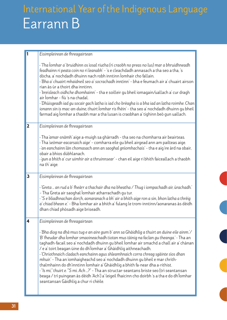|                         | Eisimpleirean de fhreagairtean                                                                                                                                                                                                                                                                                                                                                                                                                                                                                                                                                                                                                                                                                                                                                                                                                |
|-------------------------|-----------------------------------------------------------------------------------------------------------------------------------------------------------------------------------------------------------------------------------------------------------------------------------------------------------------------------------------------------------------------------------------------------------------------------------------------------------------------------------------------------------------------------------------------------------------------------------------------------------------------------------------------------------------------------------------------------------------------------------------------------------------------------------------------------------------------------------------------|
|                         | · Tha lomhar a' bruidhinn os ìosal riutha (ri craobh no preas no lus) mar a bhruidhneadh<br>feadhainn ri peata coin no ri leanabh' - 's e cleachdadh annasach a tha seo a tha, 's<br>dòcha, a' nochdadh dhuinn nach robh inntinn lomhair cho fallain.<br>· Bha a' chuairt mhaidneil seo a' socrachadh inntinn' - bha e feumach air a' chuairt airson<br>rian às ùr a thoirt dha inntinn.<br>· 'breisleach oidhche dhomhainn' - tha e soilleir gu bheil iomagain/uallach a' cur dragh<br>air Ìomhar - fiù 's na chadal.<br>· 'Dhùisgeadh iad gu socair gach latha is iad cho brèagha is a bha iad an latha roimhe. Chan<br>ionann sin is mac-an-duine, thuirt lomhar ris fhèin' - tha seo a' nochdadh dhuinn gu bheil<br>farmad aig lomhar a thaobh mar a tha lusan is craobhan a' tighinn beò gun uallach.                                    |
| $\overline{2}$          | Eisimpleirean de fhreagairtean                                                                                                                                                                                                                                                                                                                                                                                                                                                                                                                                                                                                                                                                                                                                                                                                                |
|                         | Tha 'amar-snàmh' aige a-muigh sa ghàrradh - tha seo na chomharra air beairteas.<br>· Tha 'seòmar-eacarsaich aige' - comharra eile gu bheil airgead ann am pailteas aige.<br>· 'an eanchainn làn chomasach ann an saoghal gnìomhachais' - tha e aig ìre àrd na obair,<br>obair a bhios dùbhlanach.<br>· 'gun a bhith a' cur uimhir air a thruinnsear' - chan eil aige ri bhith faiceallach a thaobh<br>na th' aige.                                                                                                                                                                                                                                                                                                                                                                                                                            |
| $\overline{\mathbf{3}}$ | Eisimpleirean de fhreagairtean                                                                                                                                                                                                                                                                                                                                                                                                                                                                                                                                                                                                                                                                                                                                                                                                                |
|                         | · 'Greta … an rud a b' fheàrr a thachair dha na bheatha / Thug i iompachadh air, ùrachadh.'<br>- Tha Greta air saoghal Ìomhair atharrachadh gu tur.<br>· "S e bliadhnachan dorch, aonaranach a bh' air a bhith aige ron a sin, bhon latha a thrèig<br>a' chiad bhean e.' - Bha Ìomhar air a bhith a' fulang le trom-inntinn/aonaranas às dèidh<br>dhan chiad phòsadh aige briseadh.                                                                                                                                                                                                                                                                                                                                                                                                                                                           |
| 4                       | Eisimpleirean de fhreagairtean                                                                                                                                                                                                                                                                                                                                                                                                                                                                                                                                                                                                                                                                                                                                                                                                                |
|                         | · 'Bha diog na dhà mus tug e an aire gum b' ann sa Ghàidhlig a thuirt an duine eile ainm.'/<br>'B' fheudar dha lomhar smaoineachadh tiotan mus tàinig na faclan gu theanga.' - Tha an<br>taghadh-facail seo a' nochdadh dhuinn gu bheil Ìomhar air smachd a chall air a' chànan<br>/ e a' toirt beagan ùine do dh'Ìomhar a' Ghàidhlig aithneachadh.<br>· 'Chriothnaich cladach eanchainn agus shleamhnaich corra chreag sgàinte sìos dhan<br>mhuir.' - Tha an ìomhaigheachd seo a' nochdadh dhuinn gu bheil e mar chrith-<br>thalmhainn do dh'inntinn lomhair a' Ghàidhlig a bhith fa-near dha a-rithist.<br>. "Is mi," thuirt e. "S mi. Ach ?" - Tha an structar-seantans briste seo (trì seantansan<br>beaga / trì puingean às dèidh 'Ach') a' leigeil fhaicinn cho doirbh 's a tha e do dh'Iomhar<br>seantansan Gàidhlig a chur ri chèile. |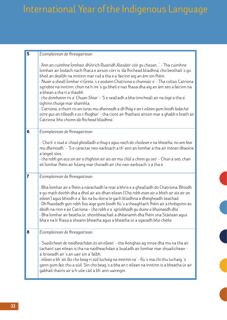| $\overline{\mathbf{5}}$ | Eisimpleirean de fhreagairtean                                                                                                                                                                                                                                                                                                                                                                                                                                                                                                                                                                                                                                                                                                                                                                                                                                     |
|-------------------------|--------------------------------------------------------------------------------------------------------------------------------------------------------------------------------------------------------------------------------------------------------------------------------------------------------------------------------------------------------------------------------------------------------------------------------------------------------------------------------------------------------------------------------------------------------------------------------------------------------------------------------------------------------------------------------------------------------------------------------------------------------------------------------------------------------------------------------------------------------------------|
|                         | · 'Ann an cuimhne Ìomhair, dh'èirich Ruairidh Alasdair còir gu chasan ' - Tha cuimhne<br>lomhair air bodach nach fhaca e airson còrr is 'dà fhichead bliadhna' cho beothail 's gu<br>bheil an dealbh na inntinn mar rud a tha e a' faicinn aig an àm sin fhèin.<br>· 'Nuair a sheall Ìomhar ri Greta, 's e aodann Chatriona a chunnaic e' - Tha coltas Catriona<br>sgrìobte na inntinn, chun na h-ìre 's gu bheil e nas fhasa dha aig an àm seo a faicinn na<br>a bhean a tha ri a thaobh.<br>· cho domhainn ris a' Chuan Shiar' - 'S e sealladh a bha timcheall air na òige a tha a'<br>tighinn thuige mar shamhla.<br>· 'Catriona, a thuirt ris an turas mu dheireadh a dh'fhàg e an t-eilean gum biodh fadachd<br>oirre gus an tilleadh e as t-fhoghar.' - tha ciont air fhathast airson mar a ghabh e brath air<br>Catriona 'bho chionn dà fhichead bliadhna.' |
| 6                       | Eisimpleirean de fhreagairtean<br>· 'Cha b' e siud a' chiad ghealladh a thug e agus nach do choilean e na bheatha, no am fear<br>mu dheireadh.' - 'S e caractar neo-earbsach a th' ann an Ìomhar a tha air mòran dhaoine<br>a leigeil sìos.<br>· 'cha robh gin aca sin air a thighinn air ais air mu chùl a chinn gu seo' - Chun a seo, chan<br>eil Ìomhar fhèin air fulang mar thoradh air cho neo-earbsach 's a tha e.                                                                                                                                                                                                                                                                                                                                                                                                                                           |
| $\overline{7}$          | Eisimpleirean de fhreagairtean<br>· Bha lomhar air e fhèin a nàrachadh le mar a bhris e a ghealladh do Chatriona. Bhiodh<br>e gu math doirbh dha a dhol air ais dhan eilean ('Cha robh esan air a bhith air ais air an<br>eilean') agus bhiodh e a' fàs na bu dorra le gach bliadhna a dheigheadh seachad.<br>· Dh'fhaodadh gun robh fios aige gum biodh fiù 's a theaghlach fhèin air a thrèigsinn às<br>dèidh na rinn e air Catriona - 'cha robh e a' sgrìobhadh gu duine a bhuineadh dha'.<br>· Bha Ìomhar air beatha ùr, shoirbheachail a dhèanamh dha fhèin sna Stàitean agus<br>bha e na b' fhasa a sheann bheatha agus a bheatha ùr a sgaradh bho chèile.                                                                                                                                                                                                   |
| 8                       | Eisimpleirean de fhreagairtean<br>· 'Suailichean de naidheachdan às an eilean' - tha Aonghas ag innse dha mu na tha air<br>tachairt san eilean is tha na naidheachdan a' bualadh air Ìomhar mar shuailichean -<br>a' briseadh air 's an uair sin a' falbh.<br>· 'eilean a bh' air fàs cho beag ri sùil luchaig na inntinn-sa' – fiù 's ma chì thu luchaig, 's<br>gann gum faic thu a sùil. Sin cho beag 's a bha an t-eilean na inntinn is a bheatha ùr air<br>gabhail thairis air a h-uile càil a bh' ann uaireigin.                                                                                                                                                                                                                                                                                                                                              |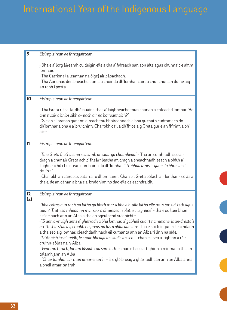| 9   | Eisimpleirean de fhreagairtean                                                                                                                                                                                                                                                                                                                                                                                                                                                                                                                                                                                                                                                                                                                                                                                                                                                                         |
|-----|--------------------------------------------------------------------------------------------------------------------------------------------------------------------------------------------------------------------------------------------------------------------------------------------------------------------------------------------------------------------------------------------------------------------------------------------------------------------------------------------------------------------------------------------------------------------------------------------------------------------------------------------------------------------------------------------------------------------------------------------------------------------------------------------------------------------------------------------------------------------------------------------------------|
|     | · Bha e a' lorg àireamh cuideigin eile a tha a' fuireach san aon àite agus chunnaic e ainm<br>lomhair.<br>· Tha Catriona (a leannan na òige) air bàsachadh.<br>. Tha Aonghas den bheachd gum bu chòir do dh'Ìomhar cairt a chur chun an duine aig<br>an robh i pòsta.                                                                                                                                                                                                                                                                                                                                                                                                                                                                                                                                                                                                                                  |
| 10  | Eisimpleirean de fhreagairtean                                                                                                                                                                                                                                                                                                                                                                                                                                                                                                                                                                                                                                                                                                                                                                                                                                                                         |
|     | . Tha Greta ri fealla-dhà nuair a tha i a' faighneachd mun chànan a chleachd Iomhar "An<br>ann nuair a bhios sibh a-mach air na boireannaich?"<br>· 'S e an t-ìoranas gur ann dìreach mu bhoireannach a bha gu math cudromach do<br>dh'Iomhar a bha e a' bruidhinn. Cha robh càil a dh'fhios aig Greta gur e an fhìrinn a bh'<br>aice.                                                                                                                                                                                                                                                                                                                                                                                                                                                                                                                                                                 |
| 11  | Eisimpleirean de fhreagairtean                                                                                                                                                                                                                                                                                                                                                                                                                                                                                                                                                                                                                                                                                                                                                                                                                                                                         |
|     | · 'Bha Greta fhathast na seasamh an siud, ga choimhead.' – Tha an còmhradh seo air<br>dragh a chur air Greta ach b' fheàrr leatha an dragh a sheachnadh seach a bhith a'<br>faighneachd cheistean domhainn do dh'Ìomhar: "Trobhad a-nis is gabh do bhracaist,"<br>thuirt i.'<br>• Cha robh an càirdeas eatarra ro dhomhainn. Chan eil Greta eòlach air Ìomhar - cò às a<br>tha e, dè an cànan a bha e a' bruidhinn no dad eile de eachdraidh.                                                                                                                                                                                                                                                                                                                                                                                                                                                          |
| 12  | Eisimpleirean de fhreagairtean                                                                                                                                                                                                                                                                                                                                                                                                                                                                                                                                                                                                                                                                                                                                                                                                                                                                         |
| (a) | · 'bha coltas gun robh an latha gu bhith mar a bha a h-uile latha eile mun àm ud, teth agus<br>tais.' / 'Tràth sa mhadainn mar seo, a dh'aindeoin blàths na grèine' - tha e soilleir bhon<br>t-sìde nach ann an Alba a tha an sgeulachd suidhichte.<br>· "S ann a-muigh anns a' ghàrradh a bha Ìomhar, a' gabhail cuairt na maidne, is an-dràsta's<br>a-rithist a' stad aig craobh no preas no lus a ghlacadh aire.' Tha e soilleir gur e cleachdadh<br>a tha seo aig Ìomhar, cleachdadh nach eil cumanta ann an Alba ri linn na sìde.<br>· 'Dùthaich ìosal, rèidh, le cnuic bheaga an siud's an seo.' - chan eil seo a' tighinn a rèir<br>cruinn-eòlas na h-Alba<br>· 'Fearann torach, far am fàsadh rud sam bith.' - chan eil seo a' tighinn a rèir mar a tha an<br>talamh ann an Alba<br>· 'Chuir Ìomhar car mun amar-snàmh' – 's e glè bheag a ghàrraidhean ann an Alba anns<br>a bheil amar-snàmh |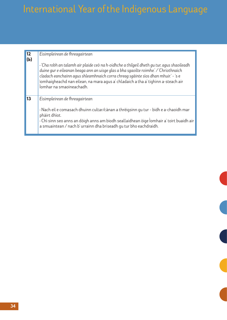| 12  | Eisimpleirean de fhreagairtean                                                                                                                                                                                                                                                                                                                                                           |
|-----|------------------------------------------------------------------------------------------------------------------------------------------------------------------------------------------------------------------------------------------------------------------------------------------------------------------------------------------------------------------------------------------|
| (b) | · 'Cha robh an talamh air plaide ceò na h-oidhche a thilgeil dheth gu tur, agus shaoileadh<br>duine gur e eileanan beaga ann an uisge glas a bha sgaoilte roimhe.' / 'Chriothnaich<br>cladach eanchainn agus shleamhnaich corra chreag sgàinte sìos dhan mhuir.' - 's e<br>ìomhaigheachd nan eilean, na mara agus a' chladaich a tha a' tighinn a-steach air<br>Íomhar na smaoineachadh. |
| 13  | Eisimpleirean de fhreagairtean<br>· Nach eil e comasach dhuinn cultar/cànan a thrèigsinn gu tur - bidh e a-chaoidh mar<br>phàirt dhìot.<br>· Chì sinn seo anns an dòigh anns am biodh seallaidhean òige lomhair a' toirt buaidh air<br>a smuaintean / nach b' urrainn dha briseadh qu tur bho eachdraidh.                                                                                |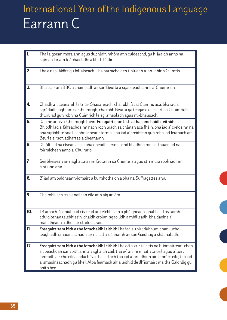| $\overline{\mathbf{1}}$ | Tha laigsean mòra ann agus dùbhlain mhòra ann cuideachd, gu h-àraidh anns na<br>sgìrean far am b' àbhaist dhi a bhith làidir.                                                                                                                                                                                                                                                              |
|-------------------------|--------------------------------------------------------------------------------------------------------------------------------------------------------------------------------------------------------------------------------------------------------------------------------------------------------------------------------------------------------------------------------------------|
| 2.                      | Tha e nas làidire gu follaiseach. Tha barrachd den t-sluagh a' bruidhinn Cuimris.                                                                                                                                                                                                                                                                                                          |
| 3 <sub>1</sub>          | Bha e air am BBC a chàineadh airson Beurla a sgaoileadh anns a' Chuimrigh.                                                                                                                                                                                                                                                                                                                 |
| 4.                      | Chaidh an dèanamh le triùir Shasannach; cha robh facal Cuimris aca; bha iad a'<br>sgrùdadh foghlam sa Chuimrigh; cha robh Beurla ga teagasg gu ceart sa Chuimrigh;<br>thuirt iad gun robh na Cuimrich leisg, aineolach agus mì-bheusach.                                                                                                                                                   |
| 5.                      | Daoine anns a' Chuimrigh fhèin. Freagairt sam bith a tha iomchaidh leithid:<br>Bhiodh iad a' faireachdainn nach robh luach sa chànan aca fhèin, bha iad a' creidsinn na<br>bha sgrìobhte sna Leabhraichean Gorma, bha iad a' creidsinn gun robh iad feumach air<br>Beurla airson adhartas a dhèanamh.                                                                                      |
| 6.                      | Dhiùlt iad na cìsean aca a phàigheadh airson ochd bliadhna mus d' fhuair iad na<br>foirmichean anns a' Chuimris.                                                                                                                                                                                                                                                                           |
| $\overline{\mathbf{r}}$ | Seirbheisean an riaghaltais rim faotainn sa Chuimris agus strì mura robh iad rim<br>faotainn ann.                                                                                                                                                                                                                                                                                          |
| 8.                      | B' iad am buidheann-iomairt a bu mhotha on a bha na Suffragettes ann.                                                                                                                                                                                                                                                                                                                      |
| 9.                      | Cha robh ach trì sianailean eile ann aig an àm.                                                                                                                                                                                                                                                                                                                                            |
| 10.                     | Trì amach-à: dhiùlt iad cìs cead an telebhisein a phàigheadh; ghabh iad os làimh<br>stiùidiothan telebhisein; chaidh croinn-sgaoilidh a mhilleadh; bha daoine a'<br>maoidheadh a dhol air stailc-acrais.                                                                                                                                                                                   |
| 11.                     | Freagairt sam bith a tha iomchaidh leithid: Tha iad a' toirt dùbhlan dhan luchd-<br>leughaidh smaoineachadh air na iad a' dèanamh airson Gàidhlig a shàbhaladh.                                                                                                                                                                                                                            |
| 12.                     | Freagairt sam bith a tha iomchaidh leithid: Tha e/i a' cur taic ris na h-iomairtean, chan<br>eil beachdan sam bith ann an aghaidh càil; tha e/i an ìre mhath taiceil agus a' toirt<br>iomradh air cho èifeachdach 's a tha iad ach tha iad a' bruidhinn air "cron" is eile; tha iad<br>a' smaoineachadh gu bheil Alba feumach air a leithid de dh'iomairt ma tha Gàidhlig gu<br>bhith beò. |